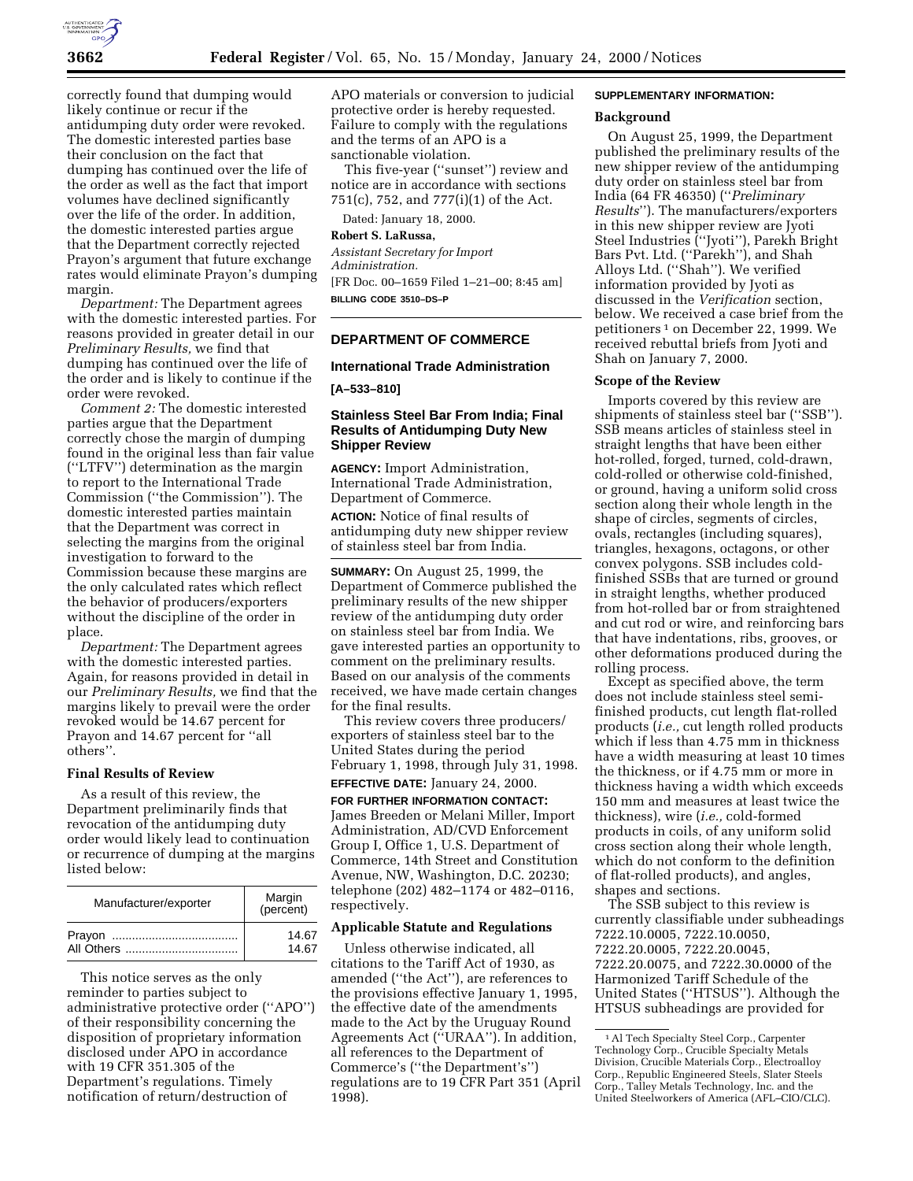

correctly found that dumping would likely continue or recur if the antidumping duty order were revoked. The domestic interested parties base their conclusion on the fact that dumping has continued over the life of the order as well as the fact that import volumes have declined significantly over the life of the order. In addition, the domestic interested parties argue that the Department correctly rejected Prayon's argument that future exchange rates would eliminate Prayon's dumping margin.

*Department:* The Department agrees with the domestic interested parties. For reasons provided in greater detail in our *Preliminary Results,* we find that dumping has continued over the life of the order and is likely to continue if the order were revoked.

*Comment 2:* The domestic interested parties argue that the Department correctly chose the margin of dumping found in the original less than fair value (''LTFV'') determination as the margin to report to the International Trade Commission (''the Commission''). The domestic interested parties maintain that the Department was correct in selecting the margins from the original investigation to forward to the Commission because these margins are the only calculated rates which reflect the behavior of producers/exporters without the discipline of the order in place.

*Department:* The Department agrees with the domestic interested parties. Again, for reasons provided in detail in our *Preliminary Results,* we find that the margins likely to prevail were the order revoked would be 14.67 percent for Prayon and 14.67 percent for ''all others''.

# **Final Results of Review**

As a result of this review, the Department preliminarily finds that revocation of the antidumping duty order would likely lead to continuation or recurrence of dumping at the margins listed below:

| Manufacturer/exporter | Margin<br>(percent) |
|-----------------------|---------------------|
|                       | 14.67               |
|                       | 14.67               |

This notice serves as the only reminder to parties subject to administrative protective order (''APO'') of their responsibility concerning the disposition of proprietary information disclosed under APO in accordance with 19 CFR 351.305 of the Department's regulations. Timely notification of return/destruction of

APO materials or conversion to judicial protective order is hereby requested. Failure to comply with the regulations and the terms of an APO is a sanctionable violation.

This five-year (''sunset'') review and notice are in accordance with sections 751(c), 752, and 777(i)(1) of the Act.

Dated: January 18, 2000.

# **Robert S. LaRussa,**

*Assistant Secretary for Import Administration.* [FR Doc. 00–1659 Filed 1–21–00; 8:45 am] **BILLING CODE 3510–DS–P**

# **DEPARTMENT OF COMMERCE**

# **International Trade Administration**

**[A–533–810]**

# **Stainless Steel Bar From India; Final Results of Antidumping Duty New Shipper Review**

**AGENCY:** Import Administration, International Trade Administration, Department of Commerce.

**ACTION:** Notice of final results of antidumping duty new shipper review of stainless steel bar from India.

**SUMMARY:** On August 25, 1999, the Department of Commerce published the preliminary results of the new shipper review of the antidumping duty order on stainless steel bar from India. We gave interested parties an opportunity to comment on the preliminary results. Based on our analysis of the comments received, we have made certain changes for the final results.

This review covers three producers/ exporters of stainless steel bar to the United States during the period February 1, 1998, through July 31, 1998.

# **EFFECTIVE DATE:** January 24, 2000.

**FOR FURTHER INFORMATION CONTACT:** James Breeden or Melani Miller, Import Administration, AD/CVD Enforcement Group I, Office 1, U.S. Department of Commerce, 14th Street and Constitution Avenue, NW, Washington, D.C. 20230; telephone (202) 482–1174 or 482–0116, respectively.

# **Applicable Statute and Regulations**

Unless otherwise indicated, all citations to the Tariff Act of 1930, as amended (''the Act''), are references to the provisions effective January 1, 1995, the effective date of the amendments made to the Act by the Uruguay Round Agreements Act (''URAA''). In addition, all references to the Department of Commerce's (''the Department's'') regulations are to 19 CFR Part 351 (April 1998).

# **SUPPLEMENTARY INFORMATION:**

#### **Background**

On August 25, 1999, the Department published the preliminary results of the new shipper review of the antidumping duty order on stainless steel bar from India (64 FR 46350) (''*Preliminary Results*''). The manufacturers/exporters in this new shipper review are Jyoti Steel Industries (''Jyoti''), Parekh Bright Bars Pvt. Ltd. (''Parekh''), and Shah Alloys Ltd. (''Shah''). We verified information provided by Jyoti as discussed in the *Verification* section, below. We received a case brief from the petitioners 1 on December 22, 1999. We received rebuttal briefs from Jyoti and Shah on January 7, 2000.

#### **Scope of the Review**

Imports covered by this review are shipments of stainless steel bar (''SSB''). SSB means articles of stainless steel in straight lengths that have been either hot-rolled, forged, turned, cold-drawn, cold-rolled or otherwise cold-finished, or ground, having a uniform solid cross section along their whole length in the shape of circles, segments of circles, ovals, rectangles (including squares), triangles, hexagons, octagons, or other convex polygons. SSB includes coldfinished SSBs that are turned or ground in straight lengths, whether produced from hot-rolled bar or from straightened and cut rod or wire, and reinforcing bars that have indentations, ribs, grooves, or other deformations produced during the rolling process.

Except as specified above, the term does not include stainless steel semifinished products, cut length flat-rolled products (*i.e.,* cut length rolled products which if less than 4.75 mm in thickness have a width measuring at least 10 times the thickness, or if 4.75 mm or more in thickness having a width which exceeds 150 mm and measures at least twice the thickness), wire (*i.e.,* cold-formed products in coils, of any uniform solid cross section along their whole length, which do not conform to the definition of flat-rolled products), and angles, shapes and sections.

The SSB subject to this review is currently classifiable under subheadings 7222.10.0005, 7222.10.0050, 7222.20.0005, 7222.20.0045, 7222.20.0075, and 7222.30.0000 of the Harmonized Tariff Schedule of the United States (''HTSUS''). Although the HTSUS subheadings are provided for

<sup>1</sup>Al Tech Specialty Steel Corp., Carpenter Technology Corp., Crucible Specialty Metals Division, Crucible Materials Corp., Electroalloy Corp., Republic Engineered Steels, Slater Steels Corp., Talley Metals Technology, Inc. and the United Steelworkers of America (AFL–CIO/CLC).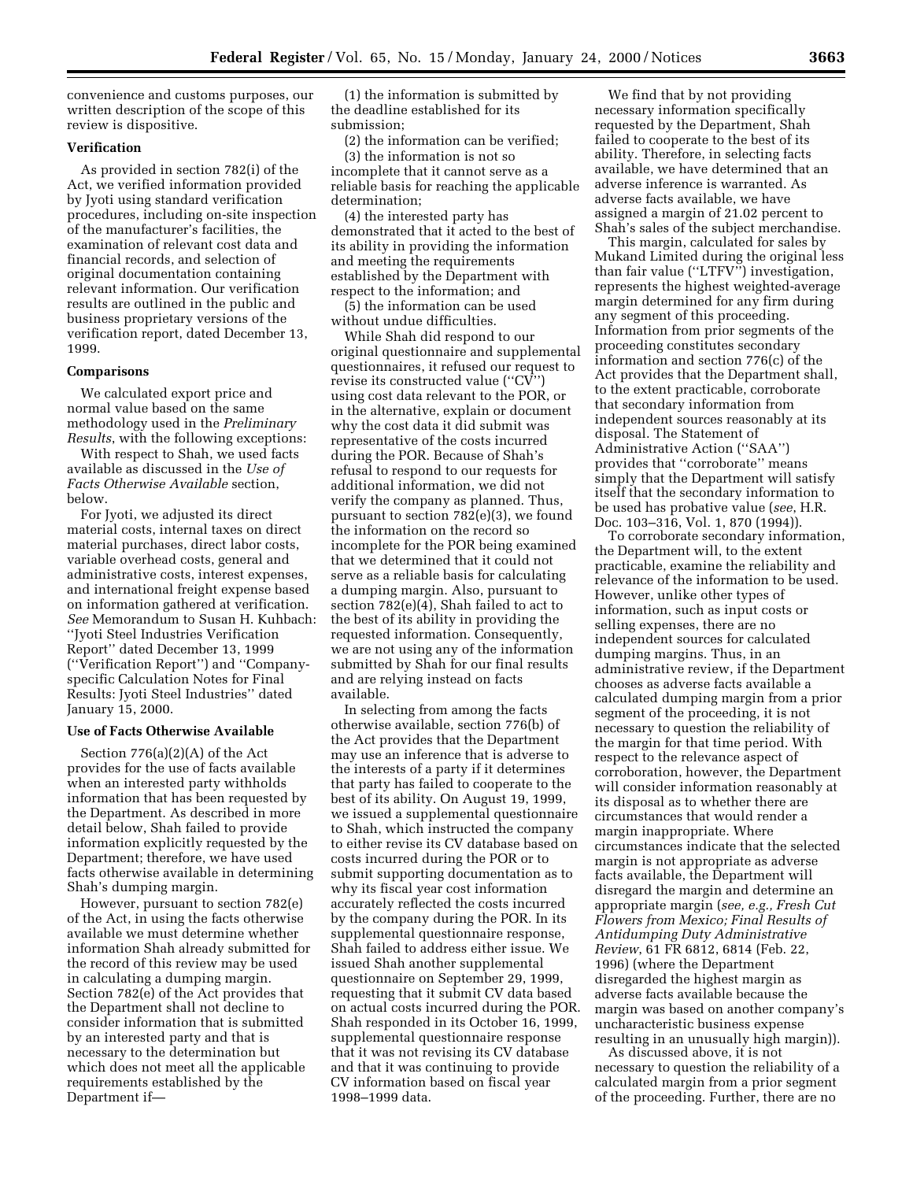convenience and customs purposes, our written description of the scope of this review is dispositive.

# **Verification**

As provided in section 782(i) of the Act, we verified information provided by Jyoti using standard verification procedures, including on-site inspection of the manufacturer's facilities, the examination of relevant cost data and financial records, and selection of original documentation containing relevant information. Our verification results are outlined in the public and business proprietary versions of the verification report, dated December 13, 1999.

#### **Comparisons**

We calculated export price and normal value based on the same methodology used in the *Preliminary Results*, with the following exceptions:

With respect to Shah, we used facts available as discussed in the *Use of Facts Otherwise Available* section, below.

For Jyoti, we adjusted its direct material costs, internal taxes on direct material purchases, direct labor costs, variable overhead costs, general and administrative costs, interest expenses, and international freight expense based on information gathered at verification. *See* Memorandum to Susan H. Kuhbach: ''Jyoti Steel Industries Verification Report'' dated December 13, 1999 (''Verification Report'') and ''Companyspecific Calculation Notes for Final Results: Jyoti Steel Industries'' dated January 15, 2000.

#### **Use of Facts Otherwise Available**

Section 776(a)(2)(A) of the Act provides for the use of facts available when an interested party withholds information that has been requested by the Department. As described in more detail below, Shah failed to provide information explicitly requested by the Department; therefore, we have used facts otherwise available in determining Shah's dumping margin.

However, pursuant to section 782(e) of the Act, in using the facts otherwise available we must determine whether information Shah already submitted for the record of this review may be used in calculating a dumping margin. Section 782(e) of the Act provides that the Department shall not decline to consider information that is submitted by an interested party and that is necessary to the determination but which does not meet all the applicable requirements established by the Department if—

(1) the information is submitted by the deadline established for its submission;

(2) the information can be verified;

(3) the information is not so incomplete that it cannot serve as a reliable basis for reaching the applicable determination;

(4) the interested party has demonstrated that it acted to the best of its ability in providing the information and meeting the requirements established by the Department with respect to the information; and

(5) the information can be used without undue difficulties.

While Shah did respond to our original questionnaire and supplemental questionnaires, it refused our request to revise its constructed value (''CV'') using cost data relevant to the POR, or in the alternative, explain or document why the cost data it did submit was representative of the costs incurred during the POR. Because of Shah's refusal to respond to our requests for additional information, we did not verify the company as planned. Thus, pursuant to section 782(e)(3), we found the information on the record so incomplete for the POR being examined that we determined that it could not serve as a reliable basis for calculating a dumping margin. Also, pursuant to section 782(e)(4), Shah failed to act to the best of its ability in providing the requested information. Consequently, we are not using any of the information submitted by Shah for our final results and are relying instead on facts available.

In selecting from among the facts otherwise available, section 776(b) of the Act provides that the Department may use an inference that is adverse to the interests of a party if it determines that party has failed to cooperate to the best of its ability. On August 19, 1999, we issued a supplemental questionnaire to Shah, which instructed the company to either revise its CV database based on costs incurred during the POR or to submit supporting documentation as to why its fiscal year cost information accurately reflected the costs incurred by the company during the POR. In its supplemental questionnaire response, Shah failed to address either issue. We issued Shah another supplemental questionnaire on September 29, 1999, requesting that it submit CV data based on actual costs incurred during the POR. Shah responded in its October 16, 1999, supplemental questionnaire response that it was not revising its CV database and that it was continuing to provide CV information based on fiscal year 1998–1999 data.

We find that by not providing necessary information specifically requested by the Department, Shah failed to cooperate to the best of its ability. Therefore, in selecting facts available, we have determined that an adverse inference is warranted. As adverse facts available, we have assigned a margin of 21.02 percent to Shah's sales of the subject merchandise.

This margin, calculated for sales by Mukand Limited during the original less than fair value ("LTFV") investigation, represents the highest weighted-average margin determined for any firm during any segment of this proceeding. Information from prior segments of the proceeding constitutes secondary information and section 776(c) of the Act provides that the Department shall, to the extent practicable, corroborate that secondary information from independent sources reasonably at its disposal. The Statement of Administrative Action (''SAA'') provides that ''corroborate'' means simply that the Department will satisfy itself that the secondary information to be used has probative value (*see*, H.R. Doc. 103–316, Vol. 1, 870 (1994)).

To corroborate secondary information, the Department will, to the extent practicable, examine the reliability and relevance of the information to be used. However, unlike other types of information, such as input costs or selling expenses, there are no independent sources for calculated dumping margins. Thus, in an administrative review, if the Department chooses as adverse facts available a calculated dumping margin from a prior segment of the proceeding, it is not necessary to question the reliability of the margin for that time period. With respect to the relevance aspect of corroboration, however, the Department will consider information reasonably at its disposal as to whether there are circumstances that would render a margin inappropriate. Where circumstances indicate that the selected margin is not appropriate as adverse facts available, the Department will disregard the margin and determine an appropriate margin (*see, e.g., Fresh Cut Flowers from Mexico; Final Results of Antidumping Duty Administrative Review*, 61 FR 6812, 6814 (Feb. 22, 1996) (where the Department disregarded the highest margin as adverse facts available because the margin was based on another company's uncharacteristic business expense resulting in an unusually high margin)).

As discussed above, it is not necessary to question the reliability of a calculated margin from a prior segment of the proceeding. Further, there are no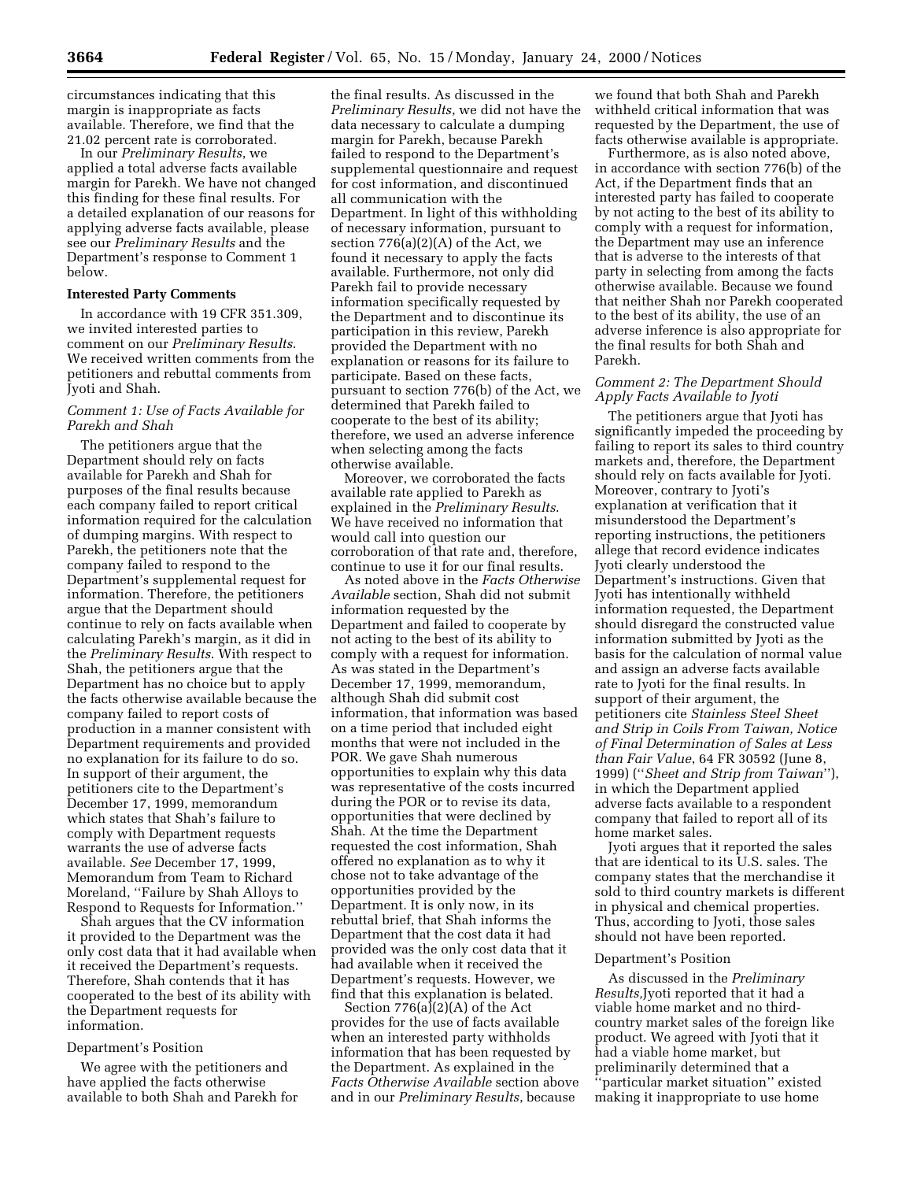circumstances indicating that this margin is inappropriate as facts available. Therefore, we find that the 21.02 percent rate is corroborated.

In our *Preliminary Results*, we applied a total adverse facts available margin for Parekh. We have not changed this finding for these final results. For a detailed explanation of our reasons for applying adverse facts available, please see our *Preliminary Results* and the Department's response to Comment 1 below.

#### **Interested Party Comments**

In accordance with 19 CFR 351.309, we invited interested parties to comment on our *Preliminary Results*. We received written comments from the petitioners and rebuttal comments from Jyoti and Shah.

# *Comment 1: Use of Facts Available for Parekh and Shah*

The petitioners argue that the Department should rely on facts available for Parekh and Shah for purposes of the final results because each company failed to report critical information required for the calculation of dumping margins. With respect to Parekh, the petitioners note that the company failed to respond to the Department's supplemental request for information. Therefore, the petitioners argue that the Department should continue to rely on facts available when calculating Parekh's margin, as it did in the *Preliminary Results*. With respect to Shah, the petitioners argue that the Department has no choice but to apply the facts otherwise available because the company failed to report costs of production in a manner consistent with Department requirements and provided no explanation for its failure to do so. In support of their argument, the petitioners cite to the Department's December 17, 1999, memorandum which states that Shah's failure to comply with Department requests warrants the use of adverse facts available. *See* December 17, 1999, Memorandum from Team to Richard Moreland, ''Failure by Shah Alloys to Respond to Requests for Information.''

Shah argues that the CV information it provided to the Department was the only cost data that it had available when it received the Department's requests. Therefore, Shah contends that it has cooperated to the best of its ability with the Department requests for information.

#### Department's Position

We agree with the petitioners and have applied the facts otherwise available to both Shah and Parekh for

the final results. As discussed in the *Preliminary Results*, we did not have the data necessary to calculate a dumping margin for Parekh, because Parekh failed to respond to the Department's supplemental questionnaire and request for cost information, and discontinued all communication with the Department. In light of this withholding of necessary information, pursuant to section 776(a)(2)(A) of the Act, we found it necessary to apply the facts available. Furthermore, not only did Parekh fail to provide necessary information specifically requested by the Department and to discontinue its participation in this review, Parekh provided the Department with no explanation or reasons for its failure to participate. Based on these facts, pursuant to section 776(b) of the Act, we determined that Parekh failed to cooperate to the best of its ability; therefore, we used an adverse inference when selecting among the facts otherwise available.

Moreover, we corroborated the facts available rate applied to Parekh as explained in the *Preliminary Results*. We have received no information that would call into question our corroboration of that rate and, therefore, continue to use it for our final results.

As noted above in the *Facts Otherwise Available* section, Shah did not submit information requested by the Department and failed to cooperate by not acting to the best of its ability to comply with a request for information. As was stated in the Department's December 17, 1999, memorandum, although Shah did submit cost information, that information was based on a time period that included eight months that were not included in the POR. We gave Shah numerous opportunities to explain why this data was representative of the costs incurred during the POR or to revise its data, opportunities that were declined by Shah. At the time the Department requested the cost information, Shah offered no explanation as to why it chose not to take advantage of the opportunities provided by the Department. It is only now, in its rebuttal brief, that Shah informs the Department that the cost data it had provided was the only cost data that it had available when it received the Department's requests. However, we find that this explanation is belated.

Section  $776(a)(2)(A)$  of the Act provides for the use of facts available when an interested party withholds information that has been requested by the Department. As explained in the *Facts Otherwise Available* section above and in our *Preliminary Results*, because

we found that both Shah and Parekh withheld critical information that was requested by the Department, the use of facts otherwise available is appropriate.

Furthermore, as is also noted above, in accordance with section 776(b) of the Act, if the Department finds that an interested party has failed to cooperate by not acting to the best of its ability to comply with a request for information, the Department may use an inference that is adverse to the interests of that party in selecting from among the facts otherwise available. Because we found that neither Shah nor Parekh cooperated to the best of its ability, the use of an adverse inference is also appropriate for the final results for both Shah and Parekh.

#### *Comment 2: The Department Should Apply Facts Available to Jyoti*

The petitioners argue that Jyoti has significantly impeded the proceeding by failing to report its sales to third country markets and, therefore, the Department should rely on facts available for Jyoti. Moreover, contrary to Jyoti's explanation at verification that it misunderstood the Department's reporting instructions, the petitioners allege that record evidence indicates Jyoti clearly understood the Department's instructions. Given that Jyoti has intentionally withheld information requested, the Department should disregard the constructed value information submitted by Jyoti as the basis for the calculation of normal value and assign an adverse facts available rate to Jyoti for the final results. In support of their argument, the petitioners cite *Stainless Steel Sheet and Strip in Coils From Taiwan, Notice of Final Determination of Sales at Less than Fair Value*, 64 FR 30592 (June 8, 1999) (''*Sheet and Strip from Taiwan*''), in which the Department applied adverse facts available to a respondent company that failed to report all of its home market sales.

Jyoti argues that it reported the sales that are identical to its U.S. sales. The company states that the merchandise it sold to third country markets is different in physical and chemical properties. Thus, according to Jyoti, those sales should not have been reported.

#### Department's Position

As discussed in the *Preliminary Results,*Jyoti reported that it had a viable home market and no thirdcountry market sales of the foreign like product. We agreed with Jyoti that it had a viable home market, but preliminarily determined that a ''particular market situation'' existed making it inappropriate to use home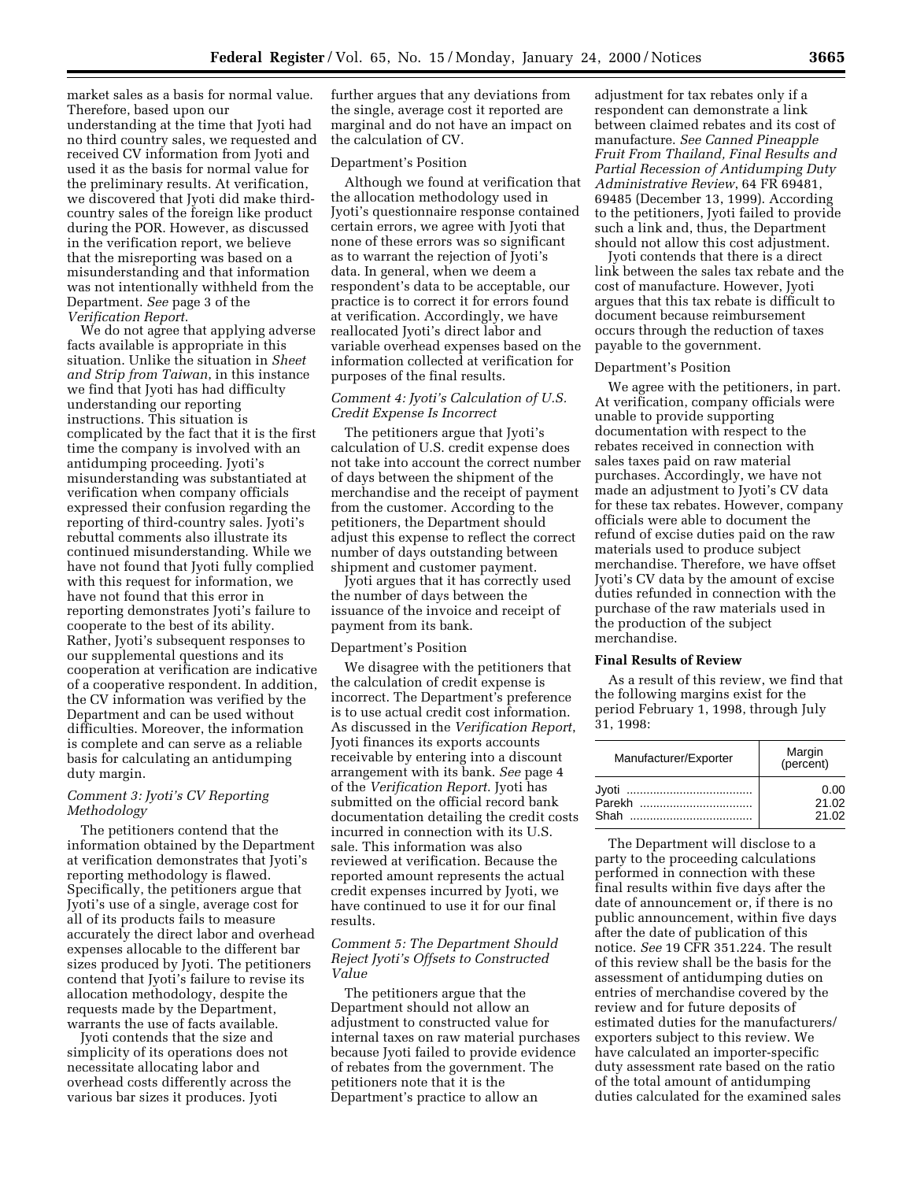market sales as a basis for normal value. Therefore, based upon our

understanding at the time that Jyoti had no third country sales, we requested and received CV information from Jyoti and used it as the basis for normal value for the preliminary results. At verification, we discovered that Jyoti did make thirdcountry sales of the foreign like product during the POR. However, as discussed in the verification report, we believe that the misreporting was based on a misunderstanding and that information was not intentionally withheld from the Department. *See* page 3 of the *Verification Report*.

We do not agree that applying adverse facts available is appropriate in this situation. Unlike the situation in *Sheet and Strip from Taiwan*, in this instance we find that Jyoti has had difficulty understanding our reporting instructions. This situation is complicated by the fact that it is the first time the company is involved with an antidumping proceeding. Jyoti's misunderstanding was substantiated at verification when company officials expressed their confusion regarding the reporting of third-country sales. Jyoti's rebuttal comments also illustrate its continued misunderstanding. While we have not found that Jyoti fully complied with this request for information, we have not found that this error in reporting demonstrates Jyoti's failure to cooperate to the best of its ability. Rather, Jyoti's subsequent responses to our supplemental questions and its cooperation at verification are indicative of a cooperative respondent. In addition, the CV information was verified by the Department and can be used without difficulties. Moreover, the information is complete and can serve as a reliable basis for calculating an antidumping duty margin.

# *Comment 3: Jyoti's CV Reporting Methodology*

The petitioners contend that the information obtained by the Department at verification demonstrates that Jyoti's reporting methodology is flawed. Specifically, the petitioners argue that Jyoti's use of a single, average cost for all of its products fails to measure accurately the direct labor and overhead expenses allocable to the different bar sizes produced by Jyoti. The petitioners contend that Jyoti's failure to revise its allocation methodology, despite the requests made by the Department, warrants the use of facts available.

Jyoti contends that the size and simplicity of its operations does not necessitate allocating labor and overhead costs differently across the various bar sizes it produces. Jyoti

further argues that any deviations from the single, average cost it reported are marginal and do not have an impact on the calculation of CV.

#### Department's Position

Although we found at verification that the allocation methodology used in Jyoti's questionnaire response contained certain errors, we agree with Jyoti that none of these errors was so significant as to warrant the rejection of Jyoti's data. In general, when we deem a respondent's data to be acceptable, our practice is to correct it for errors found at verification. Accordingly, we have reallocated Jyoti's direct labor and variable overhead expenses based on the information collected at verification for purposes of the final results.

# *Comment 4: Jyoti's Calculation of U.S. Credit Expense Is Incorrect*

The petitioners argue that Jyoti's calculation of U.S. credit expense does not take into account the correct number of days between the shipment of the merchandise and the receipt of payment from the customer. According to the petitioners, the Department should adjust this expense to reflect the correct number of days outstanding between shipment and customer payment.

Jyoti argues that it has correctly used the number of days between the issuance of the invoice and receipt of payment from its bank.

#### Department's Position

We disagree with the petitioners that the calculation of credit expense is incorrect. The Department's preference is to use actual credit cost information. As discussed in the *Verification Report*, Jyoti finances its exports accounts receivable by entering into a discount arrangement with its bank. *See* page 4 of the *Verification Report*. Jyoti has submitted on the official record bank documentation detailing the credit costs incurred in connection with its U.S. sale. This information was also reviewed at verification. Because the reported amount represents the actual credit expenses incurred by Jyoti, we have continued to use it for our final results.

# *Comment 5: The Department Should Reject Jyoti's Offsets to Constructed Value*

The petitioners argue that the Department should not allow an adjustment to constructed value for internal taxes on raw material purchases because Jyoti failed to provide evidence of rebates from the government. The petitioners note that it is the Department's practice to allow an

adjustment for tax rebates only if a respondent can demonstrate a link between claimed rebates and its cost of manufacture. *See Canned Pineapple Fruit From Thailand, Final Results and Partial Recession of Antidumping Duty Administrative Review*, 64 FR 69481, 69485 (December 13, 1999). According to the petitioners, Jyoti failed to provide such a link and, thus, the Department should not allow this cost adjustment.

Jyoti contends that there is a direct link between the sales tax rebate and the cost of manufacture. However, Jyoti argues that this tax rebate is difficult to document because reimbursement occurs through the reduction of taxes payable to the government.

#### Department's Position

We agree with the petitioners, in part. At verification, company officials were unable to provide supporting documentation with respect to the rebates received in connection with sales taxes paid on raw material purchases. Accordingly, we have not made an adjustment to Jyoti's CV data for these tax rebates. However, company officials were able to document the refund of excise duties paid on the raw materials used to produce subject merchandise. Therefore, we have offset Jyoti's CV data by the amount of excise duties refunded in connection with the purchase of the raw materials used in the production of the subject merchandise.

#### **Final Results of Review**

As a result of this review, we find that the following margins exist for the period February 1, 1998, through July 31, 1998:

| Manufacturer/Exporter | Margin<br>(percent)    |
|-----------------------|------------------------|
| Parekh<br>Shah        | 0.00<br>21.02<br>21.02 |

The Department will disclose to a party to the proceeding calculations performed in connection with these final results within five days after the date of announcement or, if there is no public announcement, within five days after the date of publication of this notice. *See* 19 CFR 351.224. The result of this review shall be the basis for the assessment of antidumping duties on entries of merchandise covered by the review and for future deposits of estimated duties for the manufacturers/ exporters subject to this review. We have calculated an importer-specific duty assessment rate based on the ratio of the total amount of antidumping duties calculated for the examined sales